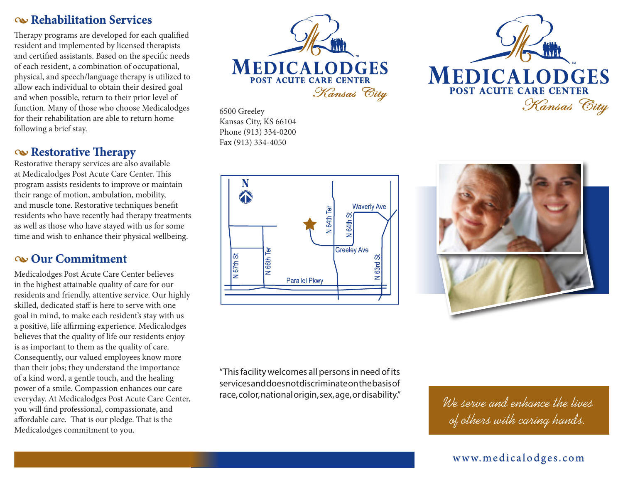#### •**Rehabilitation Services**

Therapy programs are developed for each qualified resident and implemented by licensed therapists and certified assistants. Based on the specific needs of each resident, a combination of occupational, physical, and speech/language therapy is utilized to allow each individual to obtain their desired goal and when possible, return to their prior level of function. Many of those who choose Medicalodges for their rehabilitation are able to return home following a brief stay.

#### •**Restorative Therapy**

Restorative therapy services are also available at Medicalodges Post Acute Care Center. This program assists residents to improve or maintain their range of motion, ambulation, mobility, and muscle tone. Restorative techniques benefit residents who have recently had therapy treatments as well as those who have stayed with us for some time and wish to enhance their physical wellbeing.

### •**Our Commitment**

Medicalodges Post Acute Care Center believes in the highest attainable quality of care for our residents and friendly, attentive service. Our highly skilled, dedicated staff is here to serve with one goal in mind, to make each resident's stay with us a positive, life affirming experience. Medicalodges believes that the quality of life our residents enjoy is as important to them as the quality of care. Consequently, our valued employees know more than their jobs; they understand the importance of a kind word, a gentle touch, and the healing power of a smile. Compassion enhances our care everyday. At Medicalodges Post Acute Care Center, you will find professional, compassionate, and affordable care. That is our pledge. That is the Medicalodges commitment to you.



6500 Greeley Kansas City, KS 66104 Phone (913) 334-0200 Fax (913) 334-4050







"This facility welcomes all persons in need of its services and does not discriminate on the basis of race, color, national origin, sex, age, or disability."

We serve and enhance the lives of others with caring hands.

#### www.medicalodges.com